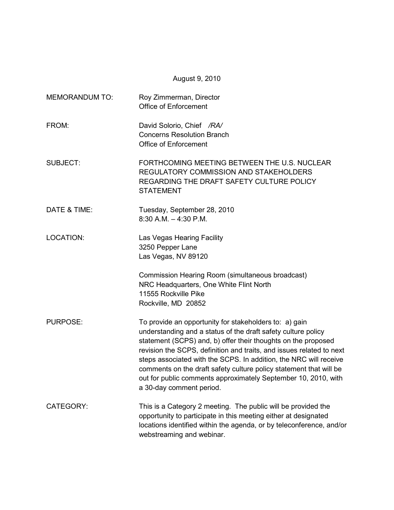August 9, 2010

| <b>MEMORANDUM TO:</b> | Roy Zimmerman, Director<br><b>Office of Enforcement</b>                                                                                                                                                                                                                                                                                                                                                                                                                                                   |
|-----------------------|-----------------------------------------------------------------------------------------------------------------------------------------------------------------------------------------------------------------------------------------------------------------------------------------------------------------------------------------------------------------------------------------------------------------------------------------------------------------------------------------------------------|
| FROM:                 | David Solorio, Chief /RA/<br><b>Concerns Resolution Branch</b><br><b>Office of Enforcement</b>                                                                                                                                                                                                                                                                                                                                                                                                            |
| <b>SUBJECT:</b>       | FORTHCOMING MEETING BETWEEN THE U.S. NUCLEAR<br>REGULATORY COMMISSION AND STAKEHOLDERS<br>REGARDING THE DRAFT SAFETY CULTURE POLICY<br><b>STATEMENT</b>                                                                                                                                                                                                                                                                                                                                                   |
| DATE & TIME:          | Tuesday, September 28, 2010<br>$8:30$ A.M. $-4:30$ P.M.                                                                                                                                                                                                                                                                                                                                                                                                                                                   |
| <b>LOCATION:</b>      | Las Vegas Hearing Facility<br>3250 Pepper Lane<br>Las Vegas, NV 89120                                                                                                                                                                                                                                                                                                                                                                                                                                     |
|                       | Commission Hearing Room (simultaneous broadcast)<br>NRC Headquarters, One White Flint North<br>11555 Rockville Pike<br>Rockville, MD 20852                                                                                                                                                                                                                                                                                                                                                                |
| <b>PURPOSE:</b>       | To provide an opportunity for stakeholders to: a) gain<br>understanding and a status of the draft safety culture policy<br>statement (SCPS) and, b) offer their thoughts on the proposed<br>revision the SCPS, definition and traits, and issues related to next<br>steps associated with the SCPS. In addition, the NRC will receive<br>comments on the draft safety culture policy statement that will be<br>out for public comments approximately September 10, 2010, with<br>a 30-day comment period. |
| CATEGORY:             | This is a Category 2 meeting. The public will be provided the<br>opportunity to participate in this meeting either at designated<br>locations identified within the agenda, or by teleconference, and/or<br>webstreaming and webinar.                                                                                                                                                                                                                                                                     |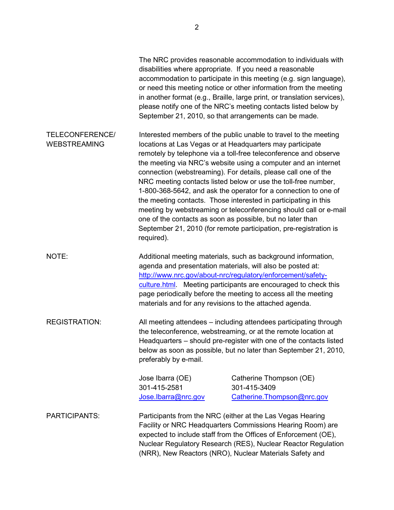|                                        | disabilities where appropriate. If you need a reasonable                                                                                                                                                                                                                                                                                                                                                                                                                                                                                                                                                                                                                                                                                                            | The NRC provides reasonable accommodation to individuals with<br>accommodation to participate in this meeting (e.g. sign language),<br>or need this meeting notice or other information from the meeting<br>in another format (e.g., Braille, large print, or translation services),<br>please notify one of the NRC's meeting contacts listed below by<br>September 21, 2010, so that arrangements can be made. |  |  |  |
|----------------------------------------|---------------------------------------------------------------------------------------------------------------------------------------------------------------------------------------------------------------------------------------------------------------------------------------------------------------------------------------------------------------------------------------------------------------------------------------------------------------------------------------------------------------------------------------------------------------------------------------------------------------------------------------------------------------------------------------------------------------------------------------------------------------------|------------------------------------------------------------------------------------------------------------------------------------------------------------------------------------------------------------------------------------------------------------------------------------------------------------------------------------------------------------------------------------------------------------------|--|--|--|
| TELECONFERENCE/<br><b>WEBSTREAMING</b> | Interested members of the public unable to travel to the meeting<br>locations at Las Vegas or at Headquarters may participate<br>remotely by telephone via a toll-free teleconference and observe<br>the meeting via NRC's website using a computer and an internet<br>connection (webstreaming). For details, please call one of the<br>NRC meeting contacts listed below or use the toll-free number,<br>1-800-368-5642, and ask the operator for a connection to one of<br>the meeting contacts. Those interested in participating in this<br>meeting by webstreaming or teleconferencing should call or e-mail<br>one of the contacts as soon as possible, but no later than<br>September 21, 2010 (for remote participation, pre-registration is<br>required). |                                                                                                                                                                                                                                                                                                                                                                                                                  |  |  |  |
| NOTE:                                  | Additional meeting materials, such as background information,<br>agenda and presentation materials, will also be posted at:<br>http://www.nrc.gov/about-nrc/regulatory/enforcement/safety-<br>culture.html. Meeting participants are encouraged to check this<br>page periodically before the meeting to access all the meeting<br>materials and for any revisions to the attached agenda.                                                                                                                                                                                                                                                                                                                                                                          |                                                                                                                                                                                                                                                                                                                                                                                                                  |  |  |  |
| <b>REGISTRATION:</b>                   | All meeting attendees – including attendees participating through<br>the teleconference, webstreaming, or at the remote location at<br>Headquarters – should pre-register with one of the contacts listed<br>below as soon as possible, but no later than September 21, 2010,<br>preferably by e-mail.                                                                                                                                                                                                                                                                                                                                                                                                                                                              |                                                                                                                                                                                                                                                                                                                                                                                                                  |  |  |  |
|                                        | Jose Ibarra (OE)<br>301-415-2581                                                                                                                                                                                                                                                                                                                                                                                                                                                                                                                                                                                                                                                                                                                                    | Catherine Thompson (OE)<br>301-415-3409                                                                                                                                                                                                                                                                                                                                                                          |  |  |  |
|                                        | Jose.Ibarra@nrc.gov                                                                                                                                                                                                                                                                                                                                                                                                                                                                                                                                                                                                                                                                                                                                                 | Catherine. Thompson@nrc.gov                                                                                                                                                                                                                                                                                                                                                                                      |  |  |  |
| PARTICIPANTS:                          |                                                                                                                                                                                                                                                                                                                                                                                                                                                                                                                                                                                                                                                                                                                                                                     | Participants from the NRC (either at the Las Vegas Hearing<br>Facility or NRC Headquarters Commissions Hearing Room) are<br>expected to include staff from the Offices of Enforcement (OE),<br>Nuclear Regulatory Research (RES), Nuclear Reactor Regulation<br>(NRR), New Reactors (NRO), Nuclear Materials Safety and                                                                                          |  |  |  |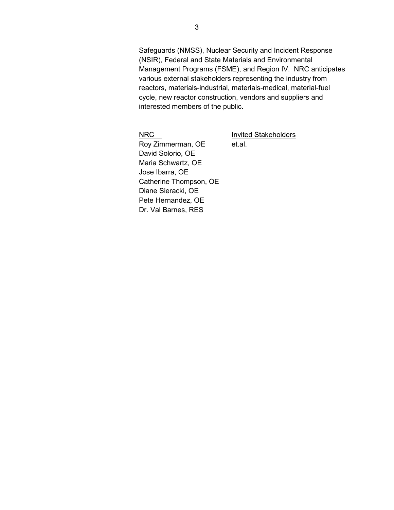Safeguards (NMSS), Nuclear Security and Incident Response (NSIR), Federal and State Materials and Environmental Management Programs (FSME), and Region IV. NRC anticipates various external stakeholders representing the industry from reactors, materials-industrial, materials-medical, material-fuel cycle, new reactor construction, vendors and suppliers and interested members of the public.

NRC Invited Stakeholders

Roy Zimmerman, OE et.al. David Solorio, OE Maria Schwartz, OE Jose Ibarra, OE Catherine Thompson, OE Diane Sieracki, OE Pete Hernandez, OE Dr. Val Barnes, RES

3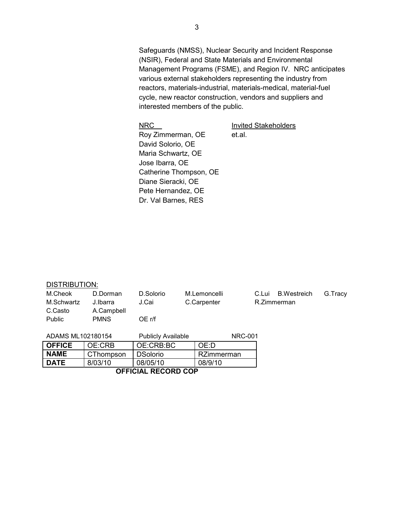Safeguards (NMSS), Nuclear Security and Incident Response (NSIR), Federal and State Materials and Environmental Management Programs (FSME), and Region IV. NRC anticipates various external stakeholders representing the industry from reactors, materials-industrial, materials-medical, material-fuel cycle, new reactor construction, vendors and suppliers and interested members of the public.

NRC **Invited Stakeholders** 

Roy Zimmerman, OE et.al. David Solorio, OE Maria Schwartz, OE Jose Ibarra, OE Catherine Thompson, OE Diane Sieracki, OE Pete Hernandez, OE Dr. Val Barnes, RES

## DISTRIBUTION:

| M.Cheok           | D.Dorman    | D.Solorio                 | M.Lemoncelli   | <b>B.Westreich</b><br>C.Lui | G.Tracy |
|-------------------|-------------|---------------------------|----------------|-----------------------------|---------|
| M.Schwartz        | J.Ibarra    | J.Cai                     | C.Carpenter    | R.Zimmerman                 |         |
| C.Casto           | A.Campbell  |                           |                |                             |         |
| Public            | <b>PMNS</b> | OE r/f                    |                |                             |         |
|                   |             |                           |                |                             |         |
| ADAMS ML102180154 |             | <b>Publicly Available</b> | <b>NRC-001</b> |                             |         |
| <b>OFFICE</b>     | OE:CRB      | OE:CRB:BC                 | OE:D           |                             |         |
| <b>NAME</b>       | CThompson   | <b>DSolorio</b>           | RZimmerman     |                             |         |
| <b>DATE</b>       | 8/03/10     | 08/05/10                  | 08/9/10        |                             |         |

**OFFICIAL RECORD COP**